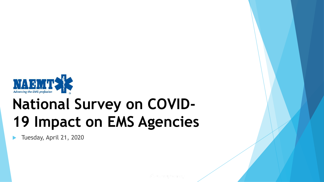

# **National Survey on COVID-19 Impact on EMS Agencies**

Tuesday, April 21, 2020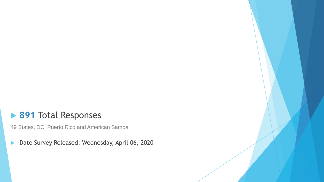#### **891** Total Responses

49 States, DC, Puerto Rico and American Samoa

Date Survey Released: Wednesday, April 06, 2020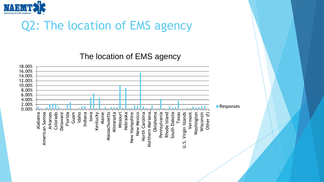

### Q2: The location of EMS agency

The location of EMS agency

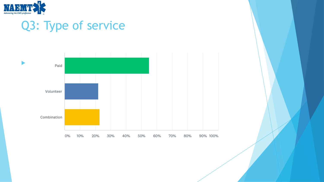

### Q3: Type of service

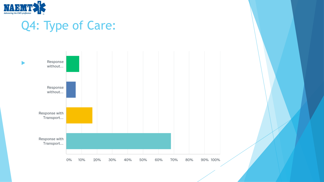

## Q4: Type of Care:

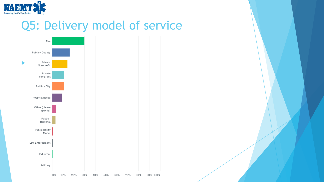

#### Q5: Delivery model of service

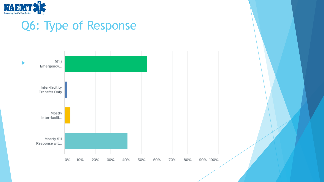

#### Q6: Type of Response

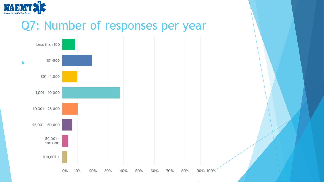

#### Q7: Number of responses per year

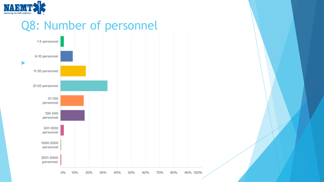

#### Q8: Number of personnel

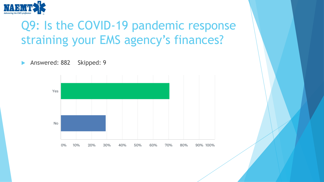

### Q9: Is the COVID-19 pandemic response straining your EMS agency's finances?

Answered: 882 Skipped: 9

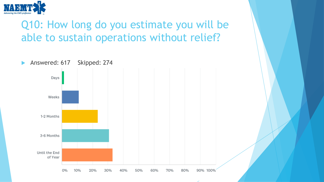

#### Q10: How long do you estimate you will be able to sustain operations without relief?

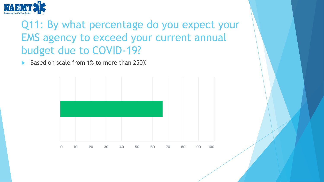

#### Q11: By what percentage do you expect your EMS agency to exceed your current annual budget due to COVID-19?

Based on scale from 1% to more than 250%

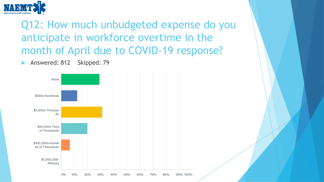

Q12: How much unbudgeted expense do you anticipate in workforce overtime in the month of April due to COVID-19 response?

Answered: 812 Skipped: 79

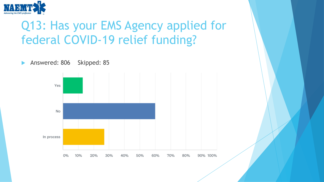

### Q13: Has your EMS Agency applied for federal COVID-19 relief funding?

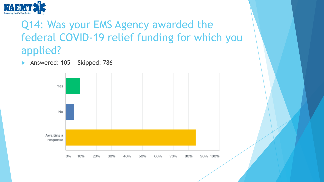

#### Q14: Was your EMS Agency awarded the federal COVID-19 relief funding for which you applied?

Answered: 105 Skipped: 786

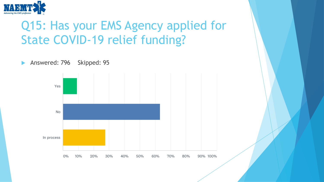

### Q15: Has your EMS Agency applied for State COVID-19 relief funding?

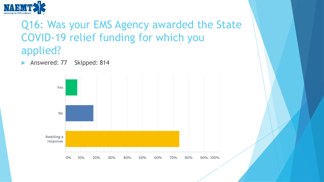

#### Q16: Was your EMS Agency awarded the State COVID-19 relief funding for which you applied?

Answered: 77 Skipped: 814

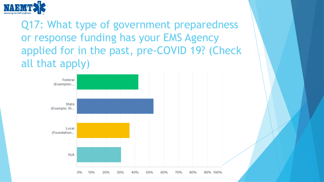

Q17: What type of government preparedness or response funding has your EMS Agency applied for in the past, pre-COVID 19? (Check all that apply)

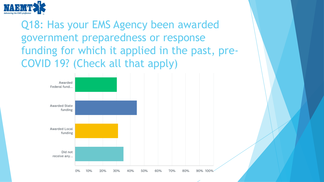

Q18: Has your EMS Agency been awarded government preparedness or response funding for which it applied in the past, pre-COVID 19? (Check all that apply)

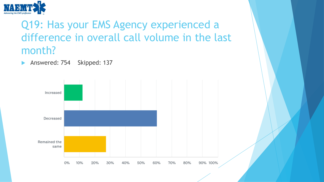

#### Q19: Has your EMS Agency experienced a difference in overall call volume in the last month?

Answered: 754 Skipped: 137

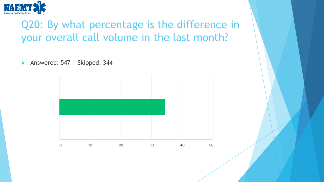

#### Q20: By what percentage is the difference in your overall call volume in the last month?

Answered: 547 Skipped: 344

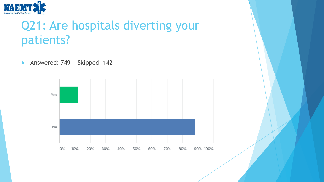

### Q21: Are hospitals diverting your patients?

Answered: 749 Skipped: 142

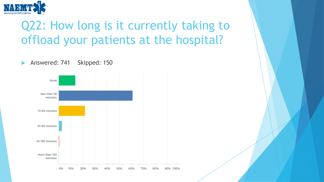

## Q22: How long is it currently taking to offload your patients at the hospital?

Answered: 741 Skipped: 150

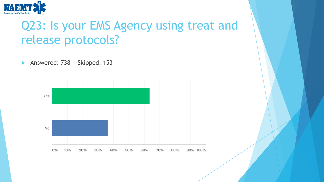

#### Q23: Is your EMS Agency using treat and release protocols?

Answered: 738 Skipped: 153

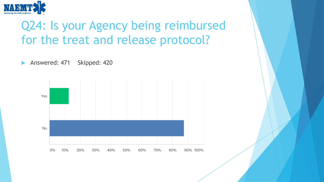

### Q24: Is your Agency being reimbursed for the treat and release protocol?

Answered: 471 Skipped: 420

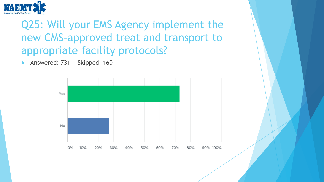

#### Q25: Will your EMS Agency implement the new CMS-approved treat and transport to appropriate facility protocols?

Answered: 731 Skipped: 160

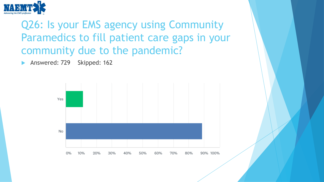

#### Q26: Is your EMS agency using Community Paramedics to fill patient care gaps in your community due to the pandemic?

Answered: 729 Skipped: 162

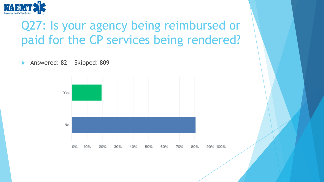

### Q27: Is your agency being reimbursed or paid for the CP services being rendered?

Answered: 82 Skipped: 809

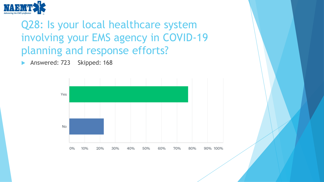

#### Q28: Is your local healthcare system involving your EMS agency in COVID-19 planning and response efforts?

Answered: 723 Skipped: 168

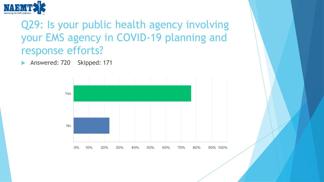

#### Q29: Is your public health agency involving your EMS agency in COVID-19 planning and response efforts?

Answered: 720 Skipped: 171

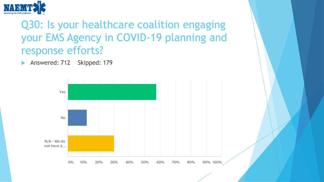

#### Q30: Is your healthcare coalition engaging your EMS Agency in COVID-19 planning and response efforts?

Answered: 712 Skipped: 179

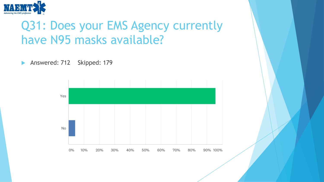

### Q31: Does your EMS Agency currently have N95 masks available?

Answered: 712 Skipped: 179

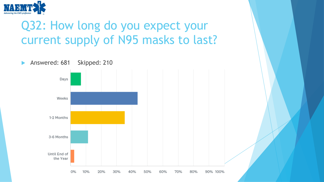

## Q32: How long do you expect your current supply of N95 masks to last?

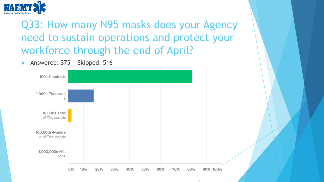

#### Q33: How many N95 masks does your Agency need to sustain operations and protect your workforce through the end of April?

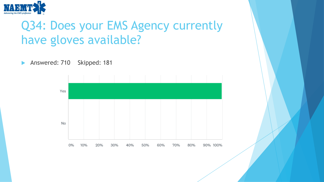

## Q34: Does your EMS Agency currently have gloves available?

Answered: 710 Skipped: 181

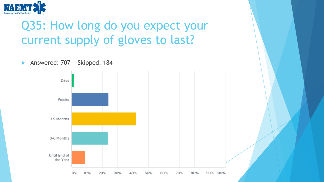

## Q35: How long do you expect your current supply of gloves to last?

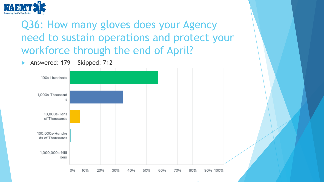

Q36: How many gloves does your Agency need to sustain operations and protect your workforce through the end of April?

Answered: 179 Skipped: 712

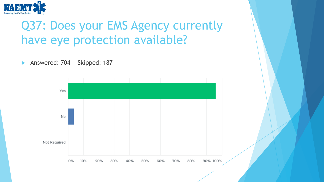

## Q37: Does your EMS Agency currently have eye protection available?

Answered: 704 Skipped: 187

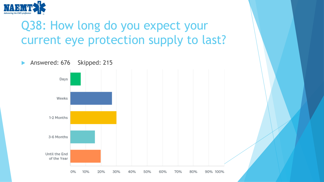

## Q38: How long do you expect your current eye protection supply to last?

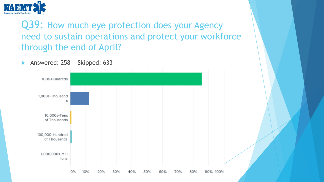

#### Q39: How much eye protection does your Agency need to sustain operations and protect your workforce through the end of April?

Answered: 258 Skipped: 633

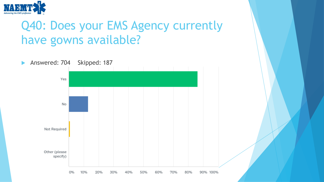

### Q40: Does your EMS Agency currently have gowns available?

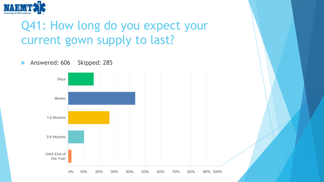

## Q41: How long do you expect your current gown supply to last?

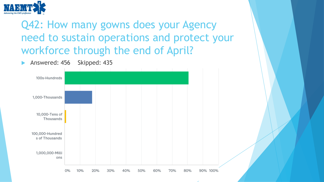

#### Q42: How many gowns does your Agency need to sustain operations and protect your workforce through the end of April?

Answered: 456 Skipped: 435

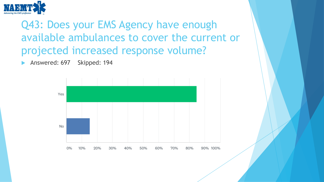

Q43: Does your EMS Agency have enough available ambulances to cover the current or projected increased response volume?

Answered: 697 Skipped: 194

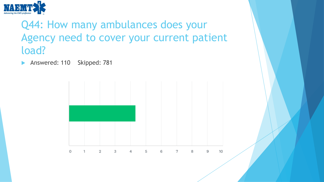

#### Q44: How many ambulances does your Agency need to cover your current patient load?

Answered: 110 Skipped: 781

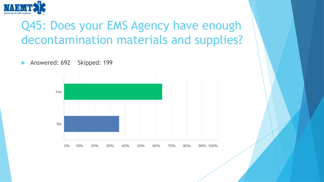

### Q45: Does your EMS Agency have enough decontamination materials and supplies?

Answered: 692 Skipped: 199

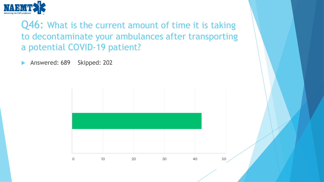

Q46: What is the current amount of time it is taking to decontaminate your ambulances after transporting a potential COVID-19 patient?

Answered: 689 Skipped: 202

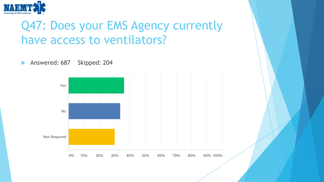

### Q47: Does your EMS Agency currently have access to ventilators?

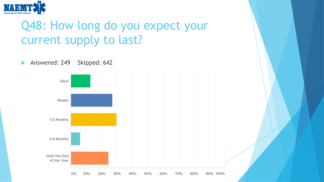

### Q48: How long do you expect your current supply to last?

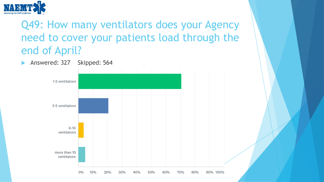

Q49: How many ventilators does your Agency need to cover your patients load through the end of April?

Answered: 327 Skipped: 564

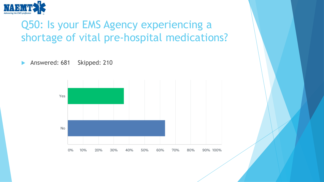

#### Q50: Is your EMS Agency experiencing a shortage of vital pre-hospital medications?

Answered: 681 Skipped: 210

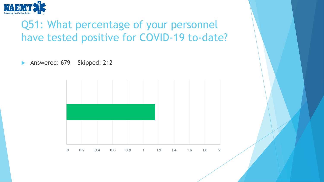

#### Q51: What percentage of your personnel have tested positive for COVID-19 to-date?

Answered: 679 Skipped: 212

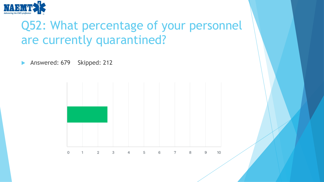

### Q52: What percentage of your personnel are currently quarantined?

Answered: 679 Skipped: 212

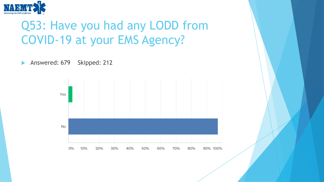

### Q53: Have you had any LODD from COVID-19 at your EMS Agency?



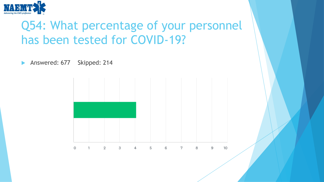

#### Q54: What percentage of your personnel has been tested for COVID-19?

Answered: 677 Skipped: 214

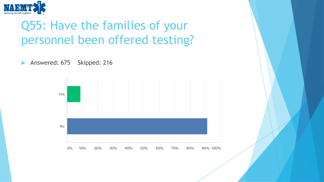

## Q55: Have the families of your personnel been offered testing?

Answered: 675 Skipped: 216

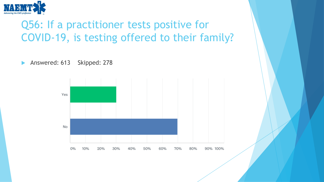

#### Q56: If a practitioner tests positive for COVID-19, is testing offered to their family?

Answered: 613 Skipped: 278

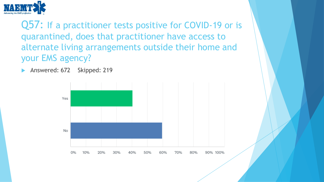

Q57: If a practitioner tests positive for COVID-19 or is quarantined, does that practitioner have access to alternate living arrangements outside their home and your EMS agency?

Answered: 672 Skipped: 219

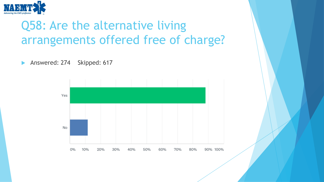

## Q58: Are the alternative living arrangements offered free of charge?

Answered: 274 Skipped: 617

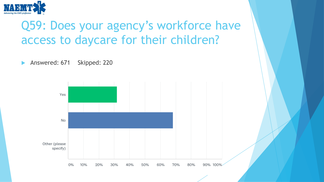

### Q59: Does your agency's workforce have access to daycare for their children?

Answered: 671 Skipped: 220